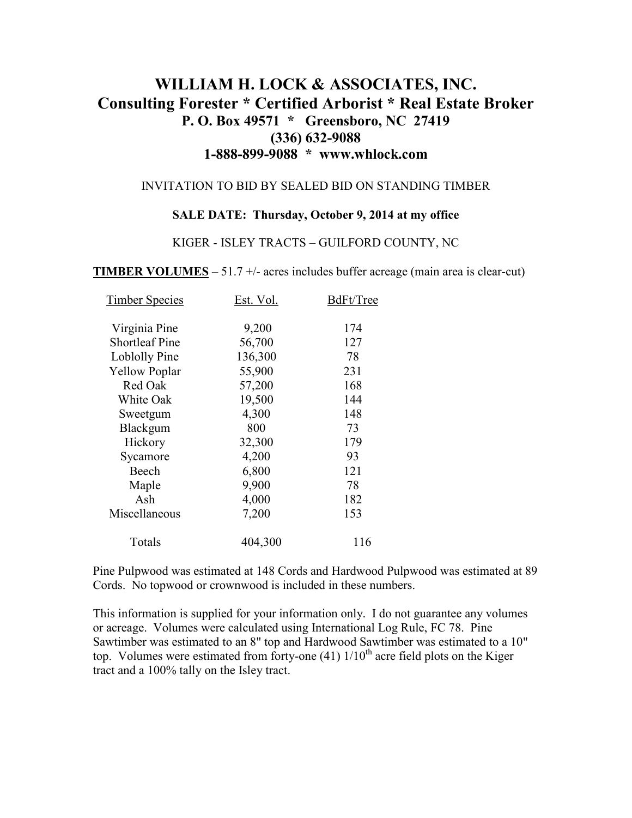# **WILLIAM H. LOCK & ASSOCIATES, INC. Consulting Forester \* Certified Arborist \* Real Estate Broker P. O. Box 49571 \* Greensboro, NC 27419 (336) 632-9088 1-888-899-9088 \* www.whlock.com**

#### INVITATION TO BID BY SEALED BID ON STANDING TIMBER

#### **SALE DATE: Thursday, October 9, 2014 at my office**

#### KIGER - ISLEY TRACTS – GUILFORD COUNTY, NC

**TIMBER VOLUMES** – 51.7 +/- acres includes buffer acreage (main area is clear-cut)

| <b>Timber Species</b> | Est. Vol. | BdFt/Tree |
|-----------------------|-----------|-----------|
| Virginia Pine         | 9,200     | 174       |
| <b>Shortleaf Pine</b> | 56,700    | 127       |
| Loblolly Pine         | 136,300   | 78        |
| <b>Yellow Poplar</b>  | 55,900    | 231       |
| Red Oak               | 57,200    | 168       |
| White Oak             | 19,500    | 144       |
| Sweetgum              | 4,300     | 148       |
| Blackgum              | 800       | 73        |
| Hickory               | 32,300    | 179       |
| Sycamore              | 4,200     | 93        |
| Beech                 | 6,800     | 121       |
| Maple                 | 9,900     | 78        |
| Ash                   | 4,000     | 182       |
| Miscellaneous         | 7,200     | 153       |
| Totals                | 404,300   | 116       |

Pine Pulpwood was estimated at 148 Cords and Hardwood Pulpwood was estimated at 89 Cords. No topwood or crownwood is included in these numbers.

This information is supplied for your information only. I do not guarantee any volumes or acreage. Volumes were calculated using International Log Rule, FC 78. Pine Sawtimber was estimated to an 8" top and Hardwood Sawtimber was estimated to a 10" top. Volumes were estimated from forty-one  $(41)$   $1/10<sup>th</sup>$  acre field plots on the Kiger tract and a 100% tally on the Isley tract.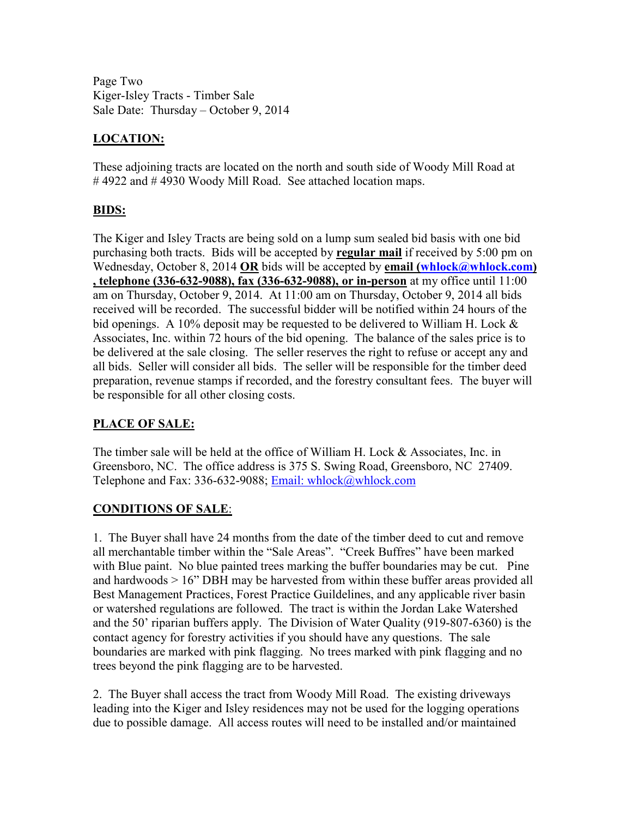Page Two Kiger-Isley Tracts - Timber Sale Sale Date: Thursday – October 9, 2014

## **LOCATION:**

These adjoining tracts are located on the north and south side of Woody Mill Road at #4922 and #4930 Woody Mill Road. See attached location maps.

### **BIDS:**

The Kiger and Isley Tracts are being sold on a lump sum sealed bid basis with one bid purchasing both tracts. Bids will be accepted by **regular mail** if received by 5:00 pm on Wednesday, October 8, 2014 OR bids will be accepted by **email (whlock@whlock.com) , telephone (336-632-9088), fax (336-632-9088), or in-person** at my office until 11:00 am on Thursday, October 9, 2014. At 11:00 am on Thursday, October 9, 2014 all bids received will be recorded. The successful bidder will be notified within 24 hours of the bid openings. A 10% deposit may be requested to be delivered to William H. Lock & Associates, Inc. within 72 hours of the bid opening. The balance of the sales price is to be delivered at the sale closing. The seller reserves the right to refuse or accept any and all bids. Seller will consider all bids. The seller will be responsible for the timber deed preparation, revenue stamps if recorded, and the forestry consultant fees. The buyer will be responsible for all other closing costs.

### **PLACE OF SALE:**

The timber sale will be held at the office of William H. Lock & Associates, Inc. in Greensboro, NC. The office address is 375 S. Swing Road, Greensboro, NC 27409. Telephone and Fax: 336-632-9088; Email: whlock@whlock.com

### **CONDITIONS OF SALE**:

1. The Buyer shall have 24 months from the date of the timber deed to cut and remove all merchantable timber within the "Sale Areas". "Creek Buffres" have been marked with Blue paint. No blue painted trees marking the buffer boundaries may be cut. Pine and hardwoods > 16" DBH may be harvested from within these buffer areas provided all Best Management Practices, Forest Practice Guildelines, and any applicable river basin or watershed regulations are followed. The tract is within the Jordan Lake Watershed and the 50' riparian buffers apply. The Division of Water Quality (919-807-6360) is the contact agency for forestry activities if you should have any questions. The sale boundaries are marked with pink flagging. No trees marked with pink flagging and no trees beyond the pink flagging are to be harvested.

2. The Buyer shall access the tract from Woody Mill Road. The existing driveways leading into the Kiger and Isley residences may not be used for the logging operations due to possible damage. All access routes will need to be installed and/or maintained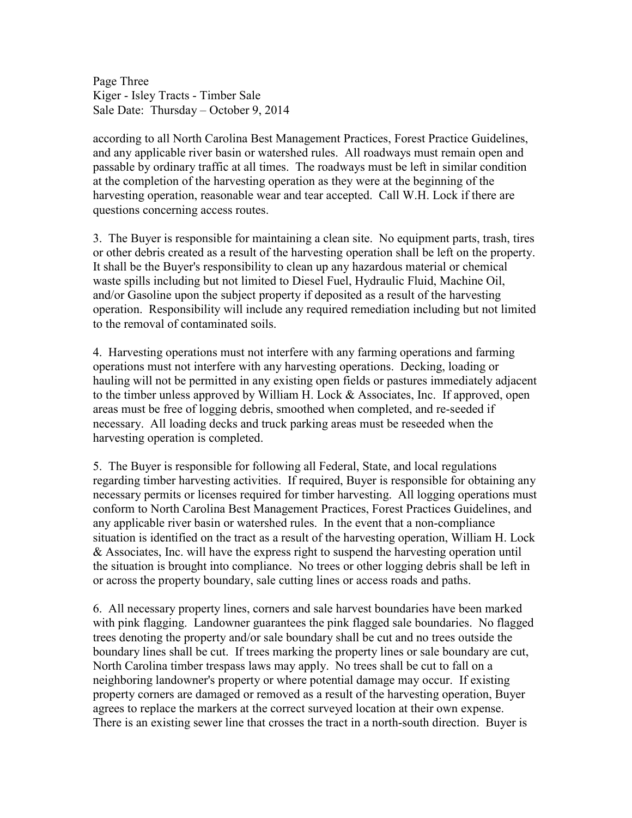Page Three Kiger - Isley Tracts - Timber Sale Sale Date: Thursday – October 9, 2014

according to all North Carolina Best Management Practices, Forest Practice Guidelines, and any applicable river basin or watershed rules. All roadways must remain open and passable by ordinary traffic at all times. The roadways must be left in similar condition at the completion of the harvesting operation as they were at the beginning of the harvesting operation, reasonable wear and tear accepted. Call W.H. Lock if there are questions concerning access routes.

3. The Buyer is responsible for maintaining a clean site. No equipment parts, trash, tires or other debris created as a result of the harvesting operation shall be left on the property. It shall be the Buyer's responsibility to clean up any hazardous material or chemical waste spills including but not limited to Diesel Fuel, Hydraulic Fluid, Machine Oil, and/or Gasoline upon the subject property if deposited as a result of the harvesting operation. Responsibility will include any required remediation including but not limited to the removal of contaminated soils.

4. Harvesting operations must not interfere with any farming operations and farming operations must not interfere with any harvesting operations. Decking, loading or hauling will not be permitted in any existing open fields or pastures immediately adjacent to the timber unless approved by William H. Lock & Associates, Inc. If approved, open areas must be free of logging debris, smoothed when completed, and re-seeded if necessary. All loading decks and truck parking areas must be reseeded when the harvesting operation is completed.

5. The Buyer is responsible for following all Federal, State, and local regulations regarding timber harvesting activities. If required, Buyer is responsible for obtaining any necessary permits or licenses required for timber harvesting. All logging operations must conform to North Carolina Best Management Practices, Forest Practices Guidelines, and any applicable river basin or watershed rules. In the event that a non-compliance situation is identified on the tract as a result of the harvesting operation, William H. Lock & Associates, Inc. will have the express right to suspend the harvesting operation until the situation is brought into compliance. No trees or other logging debris shall be left in or across the property boundary, sale cutting lines or access roads and paths.

6. All necessary property lines, corners and sale harvest boundaries have been marked with pink flagging. Landowner guarantees the pink flagged sale boundaries. No flagged trees denoting the property and/or sale boundary shall be cut and no trees outside the boundary lines shall be cut. If trees marking the property lines or sale boundary are cut, North Carolina timber trespass laws may apply. No trees shall be cut to fall on a neighboring landowner's property or where potential damage may occur. If existing property corners are damaged or removed as a result of the harvesting operation, Buyer agrees to replace the markers at the correct surveyed location at their own expense. There is an existing sewer line that crosses the tract in a north-south direction. Buyer is